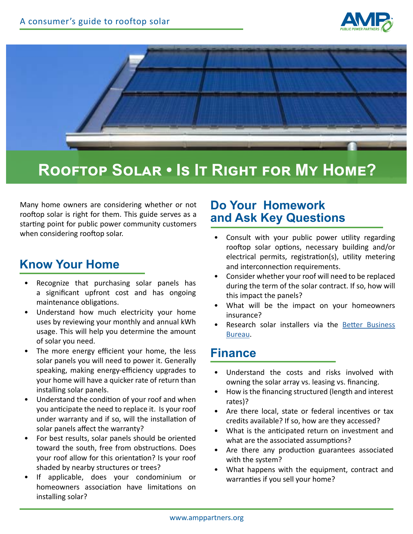



# **Rooftop Solar • Is It Right for My Home?**

Many home owners are considering whether or not rooftop solar is right for them. This guide serves as a starting point for public power community customers when considering rooftop solar.

## **Know Your Home**

- Recognize that purchasing solar panels has a significant upfront cost and has ongoing maintenance obligations.
- Understand how much electricity your home uses by reviewing your monthly and annual kWh usage. This will help you determine the amount of solar you need.
- The more energy efficient your home, the less solar panels you will need to power it. Generally speaking, making energy-efficiency upgrades to your home will have a quicker rate of return than installing solar panels.
- Understand the condition of your roof and when you anticipate the need to replace it. Is your roof under warranty and if so, will the installation of solar panels affect the warranty?
- For best results, solar panels should be oriented toward the south, free from obstructions. Does your roof allow for this orientation? Is your roof shaded by nearby structures or trees?
- If applicable, does your condominium or homeowners association have limitations on installing solar?

#### **Do Your Homework and Ask Key Questions**

- Consult with your public power utility regarding rooftop solar options, necessary building and/or electrical permits, registration(s), utility metering and interconnection requirements.
- Consider whether your roof will need to be replaced during the term of the solar contract. If so, how will this impact the panels?
- What will be the impact on your homeowners insurance?
- Research solar installers via the Better Business [Bureau](https://www.bbb.org/).

#### **Finance**

- Understand the costs and risks involved with owning the solar array vs. leasing vs. financing.
- How is the financing structured (length and interest rates)?
- Are there local, state or federal incentives or tax credits available? If so, how are they accessed?
- What is the anticipated return on investment and what are the associated assumptions?
- Are there any production guarantees associated with the system?
- What happens with the equipment, contract and warranties if you sell your home?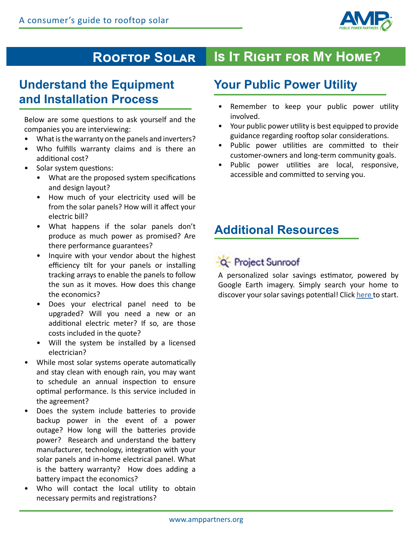

#### **Is It Right for My Home? Rooftop Solar**

## **Understand the Equipment and Installation Process**

Below are some questions to ask yourself and the companies you are interviewing:

- What is the warranty on the panels and inverters?
- Who fulfills warranty claims and is there an additional cost?
- Solar system questions:
	- What are the proposed system specifications and design layout?
	- How much of your electricity used will be from the solar panels? How will it affect your electric bill?
	- What happens if the solar panels don't produce as much power as promised? Are there performance guarantees?
	- Inquire with your vendor about the highest efficiency tilt for your panels or installing tracking arrays to enable the panels to follow the sun as it moves. How does this change the economics?
	- Does your electrical panel need to be upgraded? Will you need a new or an additional electric meter? If so, are those costs included in the quote?
	- Will the system be installed by a licensed electrician?
- While most solar systems operate automatically and stay clean with enough rain, you may want to schedule an annual inspection to ensure optimal performance. Is this service included in the agreement?
- Does the system include batteries to provide backup power in the event of a power outage? How long will the batteries provide power? Research and understand the battery manufacturer, technology, integration with your solar panels and in-home electrical panel. What is the battery warranty? How does adding a battery impact the economics?
- Who will contact the local utility to obtain necessary permits and registrations?

## **Your Public Power Utility**

- Remember to keep your public power utility involved.
- Your public power utility is best equipped to provide guidance regarding rooftop solar considerations.
- Public power utilities are committed to their customer-owners and long-term community goals.
- Public power utilities are local, responsive, accessible and committed to serving you.

## **Additional Resources**

# -Q- Project Sunroof

A personalized solar savings estimator, powered by Google Earth imagery. Simply search your home to discover your solar savings potential! Click [here](https://www.google.com/get/sunroof) to start.